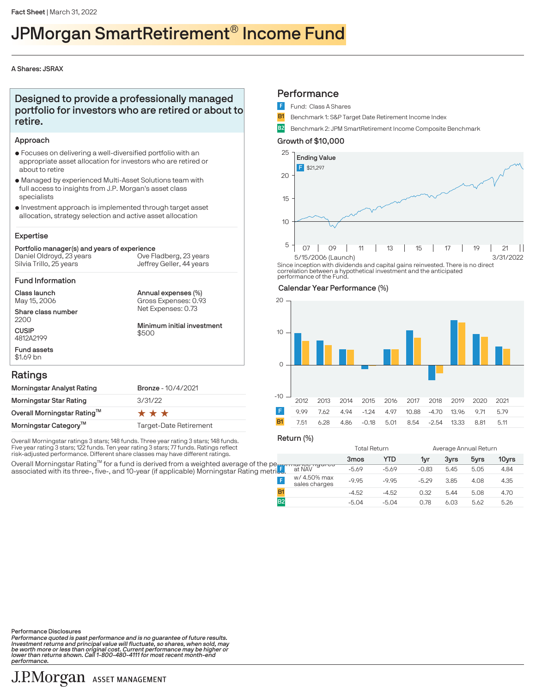# JPMorgan SmartRetirement® Income Fund

#### A Shares: JSRAX

### Designed to provide a professionally managed portfolio for investors who are retired or about to retire.

#### Approach

- $\bullet$  Focuses on delivering a well-diversified portfolio with an appropriate asset allocation for investors who are retired or about to retire
- $\bullet$  Managed by experienced Multi-Asset Solutions team with full access to insights from J.P. Morgan's asset class specialists
- $\bullet$  Investment approach is implemented through target asset allocation, strategy selection and active asset allocation

#### Expertise

#### Portfolio manager(s) and years of experience Silvia Trillo, 25 years Daniel Oldroyd, 23 years Jeffrey Geller, 44 years Ove Fladberg, 23 years

Fund Information

Class launch May 15, 2006

Share class number 2200 **CUSIP** 4812A2199

Annual expenses (%) Net Expenses: 0.73 Gross Expenses: 0.93

Minimum initial investment \$500

#### Ratings

Fund assets \$1.69 bn

| Morningstar Analyst Rating        | <b>Bronze - 10/4/2021</b> |
|-----------------------------------|---------------------------|
| Morningstar Star Rating           | 3/31/22                   |
| Overall Morningstar Rating™       | ***                       |
| Morningstar Category <sup>™</sup> | Target-Date Retirement    |

Overall Morningstar ratings 3 stars; 148 funds. Three year rating 3 stars; 148 funds. Five year rating 3 stars; 122 funds. Ten year rating 3 stars; 77 funds. Ratings reflect risk-adjusted performance. Different share classes may have different ratings.

Overall Morningstar Rating™ for a fund is derived from a weighted average of the pe associated with its three-, five-, and 10-year (if applicable) Morningstar Rating metr

#### **Performance**

- Fund: Class A Shares
- **B1** Benchmark 1: S&P Target Date Retirement Income Index
- B2 Benchmark 2: JPM SmartRetirement Income Composite Benchmark

#### Growth of \$10,000



Since inception with dividends and capital gains reinvested. There is no direct correlation between a hypothetical investment and the anticipated performance of the Fund.

#### Calendar Year Performance (%)



Return (%)

|                          |                                          | <b>Total Return</b> |         |         | Average Annual Return |      |       |  |
|--------------------------|------------------------------------------|---------------------|---------|---------|-----------------------|------|-------|--|
|                          |                                          | 3 <sub>mos</sub>    | YTD     | 1yr     | 3yrs                  | 5yrs | 10yrs |  |
| il F<br>l <del>oro</del> | ירוזמנוט <del>ט הקענו כס</del><br>at NAV | $-5.69$             | $-5.69$ | $-0.83$ | 5.45                  | 5.05 | 4.84  |  |
| $\mathsf F$              | w/ 4.50% max<br>sales charges            | $-9.95$             | $-9.95$ | $-5.29$ | 3.85                  | 4.08 | 4.35  |  |
| <b>B1</b>                |                                          | $-4.52$             | $-4.52$ | 0.32    | 5.44                  | 5.08 | 4.70  |  |
| B <sub>2</sub>           |                                          | $-5.04$             | $-5.04$ | 0.78    | 6.03                  | 5.62 | 5.26  |  |

Performance Disclosures

Performance quoted is past performance and is no guarantee of future results.<br>Investment returns and principal value will fluctuate, so shares, when sold, may<br>be worth more or less than original cost. Current performance m performance.

## J.P.Morgan ASSET MANAGEMENT